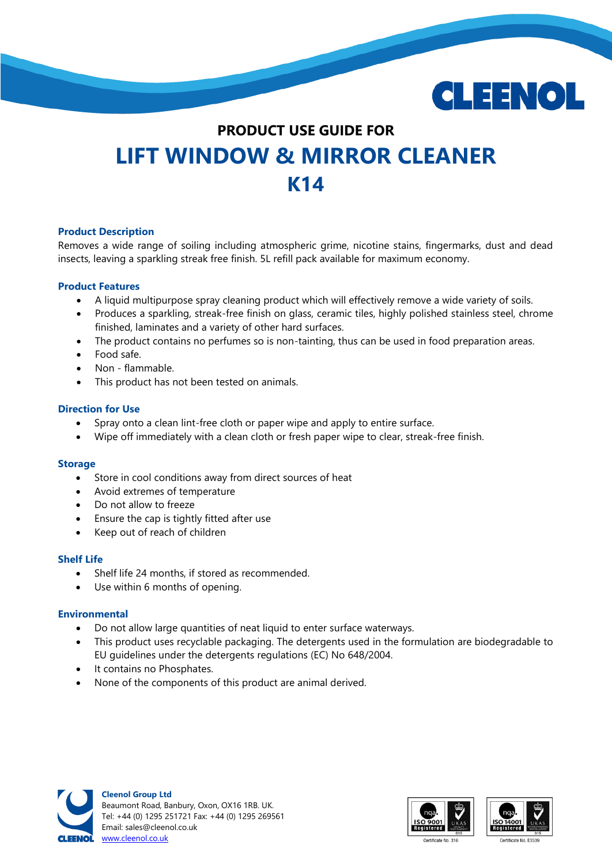

# **PRODUCT USE GUIDE FOR LIFT WINDOW & MIRROR CLEANER K14**

### **Product Description**

Removes a wide range of soiling including atmospheric grime, nicotine stains, fingermarks, dust and dead insects, leaving a sparkling streak free finish. 5L refill pack available for maximum economy.

### **Product Features**

- A liquid multipurpose spray cleaning product which will effectively remove a wide variety of soils.
- Produces a sparkling, streak-free finish on glass, ceramic tiles, highly polished stainless steel, chrome finished, laminates and a variety of other hard surfaces.
- The product contains no perfumes so is non-tainting, thus can be used in food preparation areas.
- Food safe.
- Non flammable.
- This product has not been tested on animals.

## **Direction for Use**

- Spray onto a clean lint-free cloth or paper wipe and apply to entire surface.
- Wipe off immediately with a clean cloth or fresh paper wipe to clear, streak-free finish.

### **Storage**

- Store in cool conditions away from direct sources of heat
- Avoid extremes of temperature
- Do not allow to freeze
- Ensure the cap is tightly fitted after use
- Keep out of reach of children

### **Shelf Life**

- Shelf life 24 months, if stored as recommended.
- Use within 6 months of opening.

### **Environmental**

- Do not allow large quantities of neat liquid to enter surface waterways.
- This product uses recyclable packaging. The detergents used in the formulation are biodegradable to EU guidelines under the detergents regulations (EC) No 648/2004.
- It contains no Phosphates.
- None of the components of this product are animal derived.